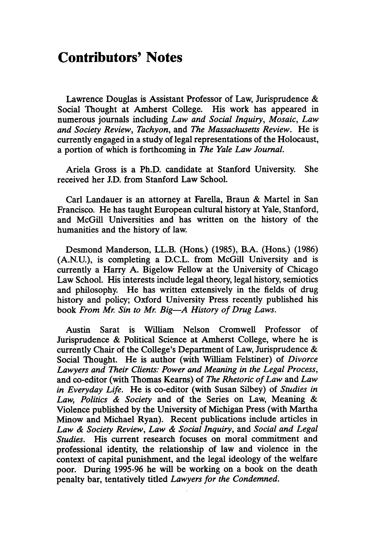## **Contributors' Notes**

Lawrence Douglas is Assistant Professor of Law, Jurisprudence **&** Social Thought at Amherst College. His work has appeared in numerous journals including *Law and Social Inquiry, Mosaic, Law and Society Review, Tachyon,* and *The Massachusetts Review.* He is currently engaged in a study of legal representations of the Holocaust, a portion of which is forthcoming in *The Yale Law Journal.*

Ariela Gross is a Ph.D. candidate at Stanford University. She received her **J.D.** from Stanford Law School.

Carl Landauer is an attorney at Farella, Braun & Martel in San Francisco. He has taught European cultural history at Yale, Stanford, and McGill Universities and has written on the history of the humanities and the history of law.

Desmond Manderson, LL.B. (Hons.) (1985), B.A. (Hons.) (1986) (A.N.U.), is completing a D.C.L. from McGill University and is currently a Harry A. Bigelow Fellow at the University of Chicago Law School. His interests include legal theory, legal history, semiotics and philosophy. He has written extensively in the fields of drug history and policy; Oxford University Press recently published his book *From Mr. Sin to Mr. Big-A History of Drug Laws.*

Austin Sarat is William Nelson Cromwell Professor of Jurisprudence & Political Science at Amherst College, where he is currently Chair of the College's Department of Law, Jurisprudence & Social Thought. He is author (with William Felstiner) of *Divorce Lawyers and Their Clients: Power and Meaning in the Legal Process,* and co-editor (with Thomas Kearns) of *The Rhetoric of Law* and *Law in Everyday Life.* He is co-editor (with Susan Silbey) of *Studies in Law, Politics & Society* and of the Series on Law, Meaning & Violence published by the University of Michigan Press (with Martha Minow and Michael Ryan). Recent publications include articles in *Law & Society Review, Law & Social Inquiry, and Social and Legal Studies.* His current research focuses on moral commitment and professional identity, the relationship of law and violence in the context of capital punishment, and the legal ideology of the welfare poor. During 1995-96 he will be working on a book on the death penalty bar, tentatively titled *Lawyers for the Condemned.*